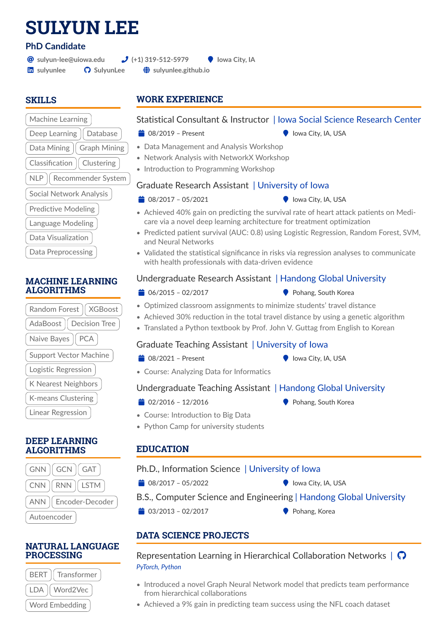# **SULYUN LEE**

## **PhD Candidate**

@ **[sulyun-lee@uiowa.edu](mailto:sulyun-lee@uiowa.edu) (+1) 319-512-5979** ( **Iowa City, IA**

**in** [sulyunlee](https://linkedin.com/in/sulyunlee)  $\bullet$  **[SulyunLee](https://github.com/SulyunLee)**  $\bullet$  [sulyunlee.github.io](https://sulyunlee.github.io)

## **SKILLS**

## Machine Learning Deep Learning | Database Data Mining || Graph Mining Classification  $\parallel$  Clustering NLP || Recommender System Social Network Analysis Predictive Modeling Language Modeling Data Visualization Data Preprocessing

#### **MACHINE LEARNING ALGORITHMS**

| Random Forest   XGBoost       |
|-------------------------------|
| AdaBoost   Decision Tree      |
| Naive Bayes   PCA             |
| <b>Support Vector Machine</b> |
| Logistic Regression           |
| K Nearest Neighbors           |
| K-means Clustering            |
| <b>Linear Regression</b>      |

#### **DEEP LEARNING ALGORITHMS**

| $GNN \parallel GCN \parallel GAT$    |
|--------------------------------------|
| $CNN$ $\parallel RNN \parallel LSTM$ |
| ANN   Encoder-Decoder                |
| Autoencoder                          |

#### **NATURAL LANGUAGE PROCESSING**



## **WORK EXPERIENCE**

## Statistical Consultant & Instructor | Iowa Social Science Research Center

- $\bullet$  100 08/2019 Present (  $\bullet$  Iowa City, IA, USA
- 
- Data Management and Analysis Workshop
- Network Analysis with NetworkX Workshop
- Introduction to Programming Workshop

#### Graduate Research Assistant | University of Iowa

- $\bullet$  108/2017 05/2021 ( Iowa City, IA, USA
	-
- Achieved 40% gain on predicting the survival rate of heart attack patients on Medicare via a novel deep learning architecture for treatment optimization
- Predicted patient survival (AUC: 0.8) using Logistic Regression, Random Forest, SVM, and Neural Networks
- Validated the statistical significance in risks via regression analyses to communicate with health professionals with data-driven evidence

## Undergraduate Research Assistant | Handong Global University

- 
- $\bullet$  06/2015 02/2017 ( Pohang, South Korea
- Optimized classroom assignments to minimize students' travel distance
- Achieved 30% reduction in the total travel distance by using a genetic algorithm
- Translated a Python textbook by Prof. John V. Guttag from English to Korean

## Graduate Teaching Assistant | University of Iowa

- 
- $\bullet$  08/2021 Present ( IQU) Iowa City, IA, USA
- Course: Analyzing Data for Informatics

## Undergraduate Teaching Assistant | Handong Global University

- $\bullet$  02/2016 12/2016 (  $\bullet$  Pohang, South Korea
	-
- Course: Introduction to Big Data
- Python Camp for university students

## **EDUCATION**

#### Ph.D., Information Science | University of Iowa

- $\bullet$  108/2017 05/2022 ( Iowa City, IA, USA
	-
- B.S., Computer Science and Engineering | Handong Global University
- $\bullet$  03/2013 02/2017 ( Pohang, Korea
	-

## **DATA SCIENCE PROJECTS**

Representation Learning in Hierarchical Collaboration Networks  $\begin{array}{c} \bigcap \ \Omega \end{array}$ *PyTorch, Python*

- Introduced a novel Graph Neural Network model that predicts team performance from hierarchical collaborations
- Achieved a 9% gain in predicting team success using the NFL coach dataset